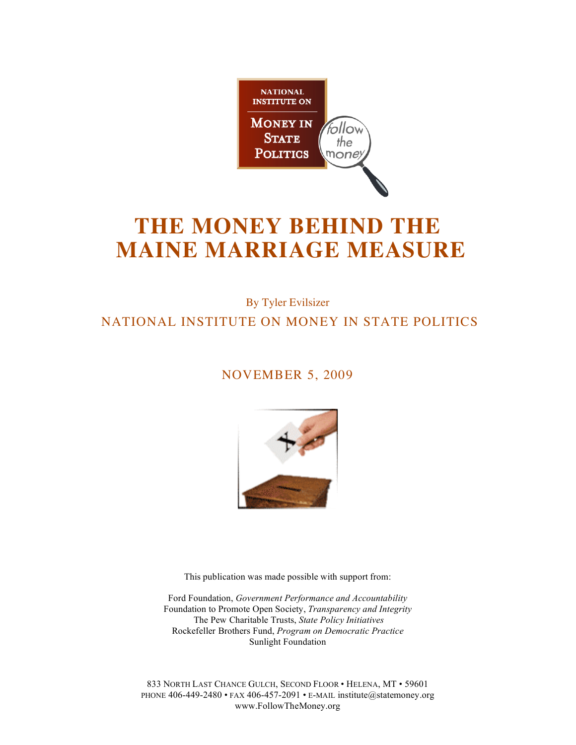

# **THE MONEY BEHIND THE MAINE MARRIAGE MEASURE**

## By Tyler Evilsizer NATIONAL INSTITUTE ON MONEY IN STATE POLITICS

### NOVEMBER 5, 2009



This publication was made possible with support from:

Ford Foundation, *Government Performance and Accountability* Foundation to Promote Open Society, *Transparency and Integrity* The Pew Charitable Trusts, *State Policy Initiatives* Rockefeller Brothers Fund, *Program on Democratic Practice* Sunlight Foundation

833 NORTH LAST CHANCE GULCH, SECOND FLOOR • HELENA, MT • 59601 PHONE 406-449-2480 • FAX 406-457-2091 • E-MAIL institute@statemoney.org www.FollowTheMoney.org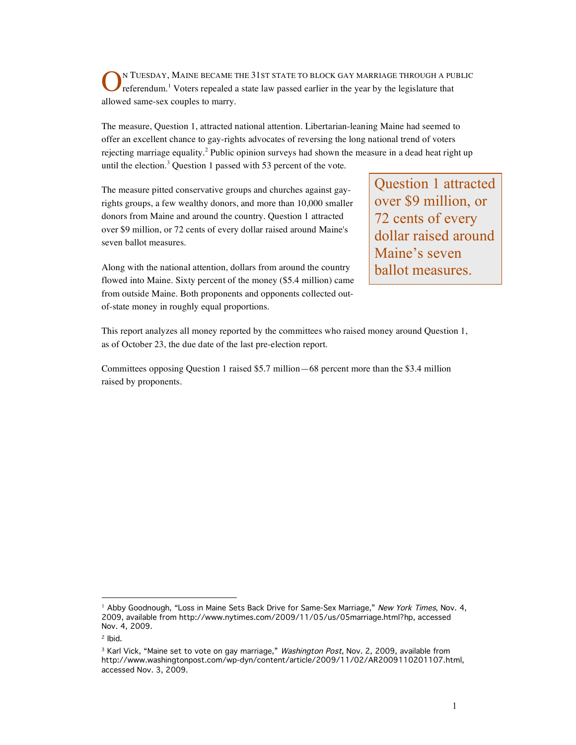N TUESDAY, MAINE BECAME THE 31ST STATE TO BLOCK GAY MARRIAGE THROUGH A PUBLIC referendum.<sup>1</sup> Voters repealed a state law passed earlier in the year by the legislature that allowed same-sex couples to marry. O

The measure, Question 1, attracted national attention. Libertarian-leaning Maine had seemed to offer an excellent chance to gay-rights advocates of reversing the long national trend of voters rejecting marriage equality.<sup>2</sup> Public opinion surveys had shown the measure in a dead heat right up until the election.<sup>3</sup> Question 1 passed with 53 percent of the vote.

The measure pitted conservative groups and churches against gayrights groups, a few wealthy donors, and more than 10,000 smaller donors from Maine and around the country. Question 1 attracted over \$9 million, or 72 cents of every dollar raised around Maine's seven ballot measures.

Along with the national attention, dollars from around the country flowed into Maine. Sixty percent of the money (\$5.4 million) came from outside Maine. Both proponents and opponents collected outof-state money in roughly equal proportions.

Question 1 attracted over \$9 million, or 72 cents of every dollar raised around Maine's seven ballot measures.

This report analyzes all money reported by the committees who raised money around Question 1, as of October 23, the due date of the last pre-election report.

Committees opposing Question 1 raised \$5.7 million—68 percent more than the \$3.4 million raised by proponents.

 $\overline{a}$ 

<sup>&</sup>lt;sup>1</sup> Abby Goodnough, "Loss in Maine Sets Back Drive for Same-Sex Marriage," New York Times, Nov. 4, 2009, available from http://www.nytimes.com/2009/11/05/us/05marriage.html?hp, accessed Nov. 4, 2009.

<sup>2</sup> Ibid.

<sup>&</sup>lt;sup>3</sup> Karl Vick, "Maine set to vote on gay marriage," Washington Post, Nov. 2, 2009, available from http://www.washingtonpost.com/wp-dyn/content/article/2009/11/02/AR2009110201107.html, accessed Nov. 3, 2009.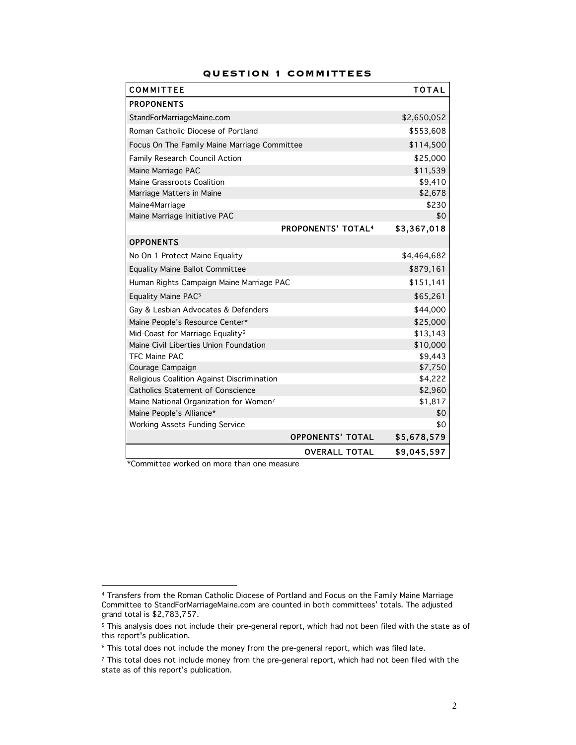| <b>COMMITTEE</b>                             |                           | <b>TOTAL</b> |
|----------------------------------------------|---------------------------|--------------|
| <b>PROPONENTS</b>                            |                           |              |
| StandForMarriageMaine.com                    |                           | \$2,650,052  |
| Roman Catholic Diocese of Portland           |                           | \$553,608    |
| Focus On The Family Maine Marriage Committee |                           | \$114,500    |
| Family Research Council Action               |                           | \$25,000     |
| Maine Marriage PAC                           |                           | \$11,539     |
| Maine Grassroots Coalition                   |                           | \$9,410      |
| Marriage Matters in Maine                    |                           | \$2,678      |
| Maine4Marriage                               |                           | \$230        |
| Maine Marriage Initiative PAC                |                           | \$0          |
|                                              | <b>PROPONENTS' TOTAL4</b> | \$3,367,018  |
| <b>OPPONENTS</b>                             |                           |              |
| No On 1 Protect Maine Equality               |                           | \$4,464,682  |
| <b>Equality Maine Ballot Committee</b>       |                           | \$879,161    |
| Human Rights Campaign Maine Marriage PAC     |                           | \$151,141    |
| Equality Maine PAC <sup>5</sup>              |                           | \$65,261     |
| Gay & Lesbian Advocates & Defenders          |                           | \$44,000     |
| Maine People's Resource Center*              |                           | \$25,000     |
| Mid-Coast for Marriage Equality <sup>6</sup> |                           | \$13,143     |
| Maine Civil Liberties Union Foundation       |                           | \$10,000     |
| TFC Maine PAC                                |                           | \$9,443      |
| Courage Campaign                             |                           | \$7,750      |
| Religious Coalition Against Discrimination   |                           | \$4,222      |
| <b>Catholics Statement of Conscience</b>     |                           | \$2,960      |
| Maine National Organization for Women7       |                           | \$1,817      |
| Maine People's Alliance*                     |                           | \$0          |
| <b>Working Assets Funding Service</b>        |                           | \$0          |
|                                              | <b>OPPONENTS' TOTAL</b>   | \$5,678,579  |
|                                              | <b>OVERALL TOTAL</b>      | \$9,045,597  |

#### **QUESTION 1 COMMITTEES**

\*Committee worked on more than one measure

 $\overline{a}$ 

<sup>4</sup> Transfers from the Roman Catholic Diocese of Portland and Focus on the Family Maine Marriage Committee to StandForMarriageMaine.com are counted in both committees' totals. The adjusted grand total is \$2,783,757.

<sup>5</sup> This analysis does not include their pre-general report, which had not been filed with the state as of this report's publication.

<sup>6</sup> This total does not include the money from the pre-general report, which was filed late.

<sup>&</sup>lt;sup>7</sup> This total does not include money from the pre-general report, which had not been filed with the state as of this report's publication.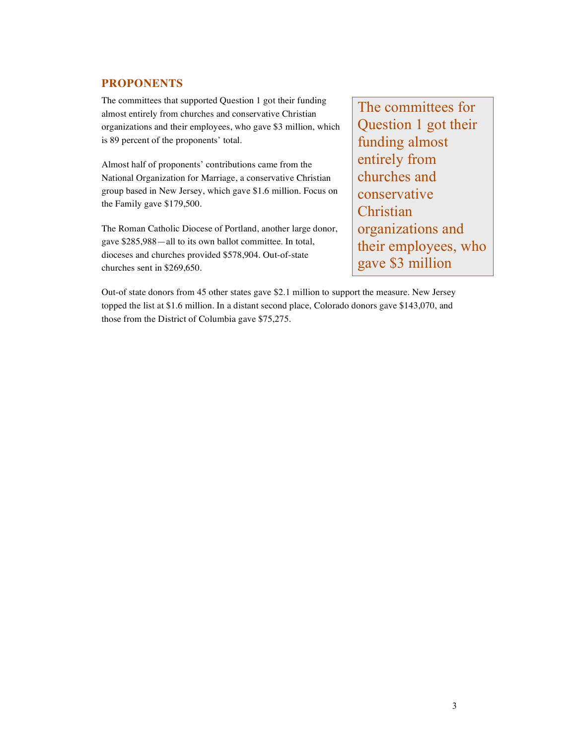#### **PROPONENTS**

The committees that supported Question 1 got their funding almost entirely from churches and conservative Christian organizations and their employees, who gave \$3 million, which is 89 percent of the proponents' total.

Almost half of proponents' contributions came from the National Organization for Marriage, a conservative Christian group based in New Jersey, which gave \$1.6 million. Focus on the Family gave \$179,500.

The Roman Catholic Diocese of Portland, another large donor, gave \$285,988—all to its own ballot committee. In total, dioceses and churches provided \$578,904. Out-of-state churches sent in \$269,650.

The committees for Question 1 got their funding almost entirely from churches and conservative **Christian** organizations and their employees, who gave \$3 million

Out-of state donors from 45 other states gave \$2.1 million to support the measure. New Jersey topped the list at \$1.6 million. In a distant second place, Colorado donors gave \$143,070, and those from the District of Columbia gave \$75,275.